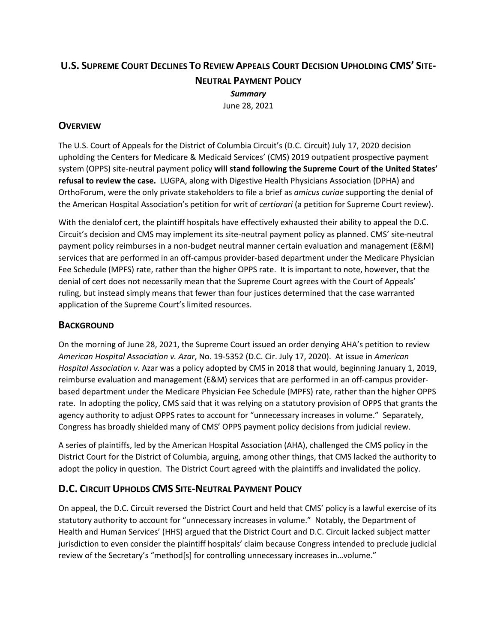# **U.S. SUPREME COURT DECLINES TO REVIEW APPEALS COURT DECISION UPHOLDING CMS' SITE-NEUTRAL PAYMENT POLICY** *Summary* June 28, 2021

## **OVERVIEW**

The U.S. Court of Appeals for the District of Columbia Circuit's (D.C. Circuit) July 17, 2020 decision upholding the Centers for Medicare & Medicaid Services' (CMS) 2019 outpatient prospective payment system (OPPS) site-neutral payment policy **will stand following the Supreme Court of the United States' refusal to review the case.** LUGPA, along with Digestive Health Physicians Association (DPHA) and OrthoForum, were the only private stakeholders to file a brief as *amicus curiae* supporting the denial of the American Hospital Association's petition for writ of *certiorari* (a petition for Supreme Court review).

With the denialof cert, the plaintiff hospitals have effectively exhausted their ability to appeal the D.C. Circuit's decision and CMS may implement its site-neutral payment policy as planned. CMS' site-neutral payment policy reimburses in a non-budget neutral manner certain evaluation and management (E&M) services that are performed in an off-campus provider-based department under the Medicare Physician Fee Schedule (MPFS) rate, rather than the higher OPPS rate. It is important to note, however, that the denial of cert does not necessarily mean that the Supreme Court agrees with the Court of Appeals' ruling, but instead simply means that fewer than four justices determined that the case warranted application of the Supreme Court's limited resources.

#### **BACKGROUND**

On the morning of June 28, 2021, the Supreme Court issued an order denying AHA's petition to review *American Hospital Association v. Azar*, No. 19-5352 (D.C. Cir. July 17, 2020). At issue in *American Hospital Association v.* Azar was a policy adopted by CMS in 2018 that would, beginning January 1, 2019, reimburse evaluation and management (E&M) services that are performed in an off-campus providerbased department under the Medicare Physician Fee Schedule (MPFS) rate, rather than the higher OPPS rate. In adopting the policy, CMS said that it was relying on a statutory provision of OPPS that grants the agency authority to adjust OPPS rates to account for "unnecessary increases in volume." Separately, Congress has broadly shielded many of CMS' OPPS payment policy decisions from judicial review.

A series of plaintiffs, led by the American Hospital Association (AHA), challenged the CMS policy in the District Court for the District of Columbia, arguing, among other things, that CMS lacked the authority to adopt the policy in question. The District Court agreed with the plaintiffs and invalidated the policy.

# **D.C. CIRCUIT UPHOLDS CMS SITE-NEUTRAL PAYMENT POLICY**

On appeal, the D.C. Circuit reversed the District Court and held that CMS' policy is a lawful exercise of its statutory authority to account for "unnecessary increases in volume." Notably, the Department of Health and Human Services' (HHS) argued that the District Court and D.C. Circuit lacked subject matter jurisdiction to even consider the plaintiff hospitals' claim because Congress intended to preclude judicial review of the Secretary's "method[s] for controlling unnecessary increases in…volume."